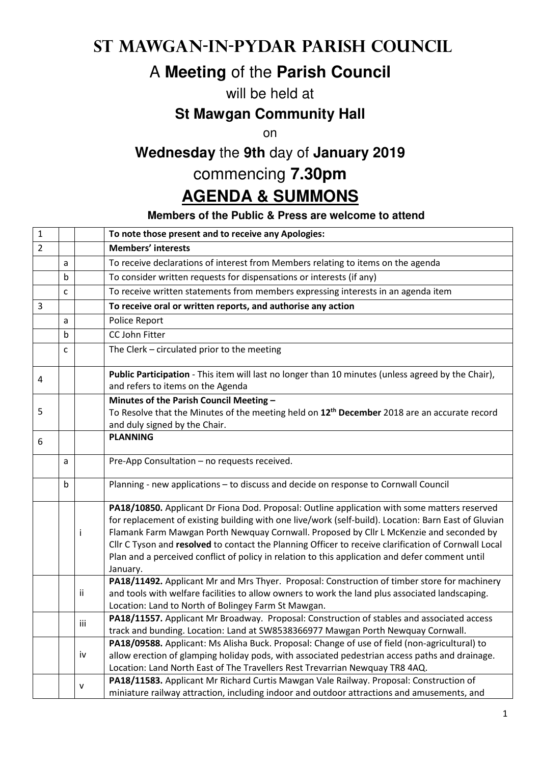## **St Mawgan-in-Pydar Parish Council**

# A **Meeting** of the **Parish Council**

#### will be held at

#### **St Mawgan Community Hall**

on

## **Wednesday** the **9th** day of **January 2019**

### commencing **7.30pm**

## **AGENDA & SUMMONS**

#### **Members of the Public & Press are welcome to attend**

| $\mathbf 1$    |              |              | To note those present and to receive any Apologies:                                                                                                                                                                                                                                                                                                                                                                                                                                                                    |
|----------------|--------------|--------------|------------------------------------------------------------------------------------------------------------------------------------------------------------------------------------------------------------------------------------------------------------------------------------------------------------------------------------------------------------------------------------------------------------------------------------------------------------------------------------------------------------------------|
| $\overline{2}$ |              |              | <b>Members' interests</b>                                                                                                                                                                                                                                                                                                                                                                                                                                                                                              |
|                | a            |              | To receive declarations of interest from Members relating to items on the agenda                                                                                                                                                                                                                                                                                                                                                                                                                                       |
|                | b            |              | To consider written requests for dispensations or interests (if any)                                                                                                                                                                                                                                                                                                                                                                                                                                                   |
|                | C            |              | To receive written statements from members expressing interests in an agenda item                                                                                                                                                                                                                                                                                                                                                                                                                                      |
| $\overline{3}$ |              |              | To receive oral or written reports, and authorise any action                                                                                                                                                                                                                                                                                                                                                                                                                                                           |
|                | a            |              | Police Report                                                                                                                                                                                                                                                                                                                                                                                                                                                                                                          |
|                | $\mathbf b$  |              | CC John Fitter                                                                                                                                                                                                                                                                                                                                                                                                                                                                                                         |
|                | $\mathsf{C}$ |              | The Clerk - circulated prior to the meeting                                                                                                                                                                                                                                                                                                                                                                                                                                                                            |
| 4              |              |              | Public Participation - This item will last no longer than 10 minutes (unless agreed by the Chair),<br>and refers to items on the Agenda                                                                                                                                                                                                                                                                                                                                                                                |
|                |              |              | Minutes of the Parish Council Meeting -                                                                                                                                                                                                                                                                                                                                                                                                                                                                                |
| 5              |              |              | To Resolve that the Minutes of the meeting held on 12 <sup>th</sup> December 2018 are an accurate record                                                                                                                                                                                                                                                                                                                                                                                                               |
|                |              |              | and duly signed by the Chair.<br><b>PLANNING</b>                                                                                                                                                                                                                                                                                                                                                                                                                                                                       |
| 6              |              |              |                                                                                                                                                                                                                                                                                                                                                                                                                                                                                                                        |
|                | a            |              | Pre-App Consultation - no requests received.                                                                                                                                                                                                                                                                                                                                                                                                                                                                           |
|                | b            |              | Planning - new applications - to discuss and decide on response to Cornwall Council                                                                                                                                                                                                                                                                                                                                                                                                                                    |
|                |              | İ            | PA18/10850. Applicant Dr Fiona Dod. Proposal: Outline application with some matters reserved<br>for replacement of existing building with one live/work (self-build). Location: Barn East of Gluvian<br>Flamank Farm Mawgan Porth Newquay Cornwall. Proposed by Cllr L McKenzie and seconded by<br>Cllr C Tyson and resolved to contact the Planning Officer to receive clarification of Cornwall Local<br>Plan and a perceived conflict of policy in relation to this application and defer comment until<br>January. |
|                |              | ii           | PA18/11492. Applicant Mr and Mrs Thyer. Proposal: Construction of timber store for machinery<br>and tools with welfare facilities to allow owners to work the land plus associated landscaping.<br>Location: Land to North of Bolingey Farm St Mawgan.                                                                                                                                                                                                                                                                 |
|                |              | iii          | PA18/11557. Applicant Mr Broadway. Proposal: Construction of stables and associated access<br>track and bunding. Location: Land at SW8538366977 Mawgan Porth Newquay Cornwall.                                                                                                                                                                                                                                                                                                                                         |
|                |              | iv           | PA18/09588. Applicant: Ms Alisha Buck. Proposal: Change of use of field (non-agricultural) to<br>allow erection of glamping holiday pods, with associated pedestrian access paths and drainage.<br>Location: Land North East of The Travellers Rest Trevarrian Newquay TR8 4AQ.                                                                                                                                                                                                                                        |
|                |              | $\mathsf{v}$ | PA18/11583. Applicant Mr Richard Curtis Mawgan Vale Railway. Proposal: Construction of<br>miniature railway attraction, including indoor and outdoor attractions and amusements, and                                                                                                                                                                                                                                                                                                                                   |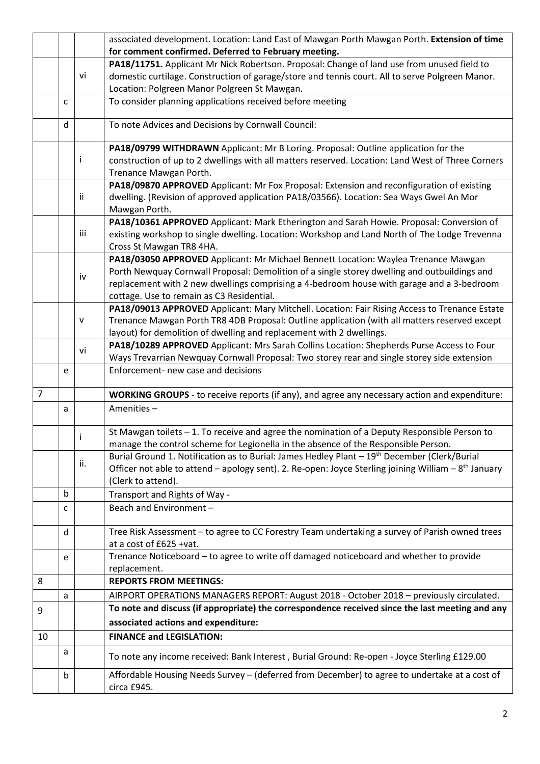|                |             |              | associated development. Location: Land East of Mawgan Porth Mawgan Porth. Extension of time                                                |
|----------------|-------------|--------------|--------------------------------------------------------------------------------------------------------------------------------------------|
|                |             |              | for comment confirmed. Deferred to February meeting.                                                                                       |
|                |             |              | PA18/11751. Applicant Mr Nick Robertson. Proposal: Change of land use from unused field to                                                 |
|                |             | vi           | domestic curtilage. Construction of garage/store and tennis court. All to serve Polgreen Manor.                                            |
|                |             |              | Location: Polgreen Manor Polgreen St Mawgan.                                                                                               |
|                | C           |              | To consider planning applications received before meeting                                                                                  |
|                | d           |              | To note Advices and Decisions by Cornwall Council:                                                                                         |
|                |             |              | PA18/09799 WITHDRAWN Applicant: Mr B Loring. Proposal: Outline application for the                                                         |
|                |             |              | construction of up to 2 dwellings with all matters reserved. Location: Land West of Three Corners                                          |
|                |             |              | Trenance Mawgan Porth.                                                                                                                     |
|                |             |              | PA18/09870 APPROVED Applicant: Mr Fox Proposal: Extension and reconfiguration of existing                                                  |
|                |             | Ϊİ           | dwelling. (Revision of approved application PA18/03566). Location: Sea Ways Gwel An Mor                                                    |
|                |             |              | Mawgan Porth.                                                                                                                              |
|                |             |              | PA18/10361 APPROVED Applicant: Mark Etherington and Sarah Howie. Proposal: Conversion of                                                   |
|                |             | iii          | existing workshop to single dwelling. Location: Workshop and Land North of The Lodge Trevenna                                              |
|                |             |              | Cross St Mawgan TR8 4HA.                                                                                                                   |
|                |             |              | PA18/03050 APPROVED Applicant: Mr Michael Bennett Location: Waylea Trenance Mawgan                                                         |
|                |             | iv           | Porth Newquay Cornwall Proposal: Demolition of a single storey dwelling and outbuildings and                                               |
|                |             |              | replacement with 2 new dwellings comprising a 4-bedroom house with garage and a 3-bedroom                                                  |
|                |             |              | cottage. Use to remain as C3 Residential.<br>PA18/09013 APPROVED Applicant: Mary Mitchell. Location: Fair Rising Access to Trenance Estate |
|                |             | $\mathsf{V}$ | Trenance Mawgan Porth TR8 4DB Proposal: Outline application (with all matters reserved except                                              |
|                |             |              | layout) for demolition of dwelling and replacement with 2 dwellings.                                                                       |
|                |             |              | PA18/10289 APPROVED Applicant: Mrs Sarah Collins Location: Shepherds Purse Access to Four                                                  |
|                |             | vi           | Ways Trevarrian Newquay Cornwall Proposal: Two storey rear and single storey side extension                                                |
|                | e           |              | Enforcement- new case and decisions                                                                                                        |
|                |             |              |                                                                                                                                            |
| $\overline{7}$ |             |              | WORKING GROUPS - to receive reports (if any), and agree any necessary action and expenditure:                                              |
|                | a           |              | Amenities-                                                                                                                                 |
|                |             |              | St Mawgan toilets $-1$ . To receive and agree the nomination of a Deputy Responsible Person to                                             |
|                |             |              | manage the control scheme for Legionella in the absence of the Responsible Person.                                                         |
|                |             |              | Burial Ground 1. Notification as to Burial: James Hedley Plant - 19 <sup>th</sup> December (Clerk/Burial                                   |
|                |             | ii.          | Officer not able to attend – apology sent). 2. Re-open: Joyce Sterling joining William – $8th$ January                                     |
|                |             |              | (Clerk to attend).                                                                                                                         |
|                | $\mathbf b$ |              | Transport and Rights of Way -                                                                                                              |
|                | c           |              | Beach and Environment -                                                                                                                    |
|                | d           |              | Tree Risk Assessment - to agree to CC Forestry Team undertaking a survey of Parish owned trees                                             |
|                |             |              | at a cost of £625 +vat.                                                                                                                    |
|                | e           |              | Trenance Noticeboard - to agree to write off damaged noticeboard and whether to provide                                                    |
|                |             |              | replacement.                                                                                                                               |
| 8              |             |              | <b>REPORTS FROM MEETINGS:</b>                                                                                                              |
|                | a           |              | AIRPORT OPERATIONS MANAGERS REPORT: August 2018 - October 2018 - previously circulated.                                                    |
| 9              |             |              | To note and discuss (if appropriate) the correspondence received since the last meeting and any                                            |
|                |             |              | associated actions and expenditure:                                                                                                        |
| 10             |             |              | <b>FINANCE and LEGISLATION:</b>                                                                                                            |
|                | a           |              | To note any income received: Bank Interest, Burial Ground: Re-open - Joyce Sterling £129.00                                                |
|                |             |              |                                                                                                                                            |
|                | b           |              | Affordable Housing Needs Survey - (deferred from December) to agree to undertake at a cost of<br>circa £945.                               |